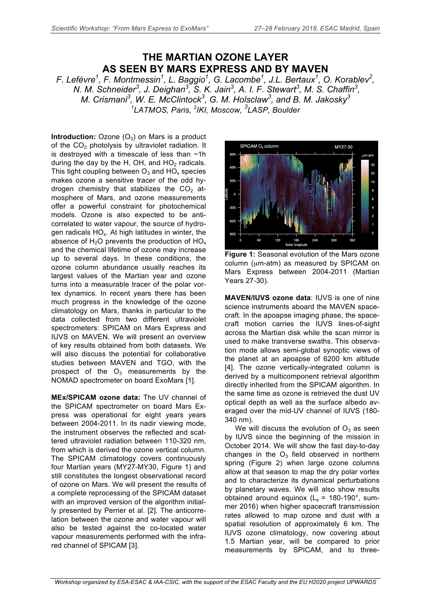## **THE MARTIAN OZONE LAYER AS SEEN BY MARS EXPRESS AND BY MAVEN**

*F. Lefèvre<sup>1</sup> , F. Montmessin<sup>1</sup> , L. Baggio1 , G. Lacombe<sup>1</sup> , J.L. Bertaux1 , O. Korablev2 , N. M. Schneider<sup>3</sup>, J. Deighan<sup>3</sup>, S. K. Jain<sup>3</sup>, A. I. F. Stewart<sup>3</sup>, M. S. Chaffin<sup>3</sup>, M. Crismani3 , W. E. McClintock<sup>3</sup> , G. M. Holsclaw<sup>3</sup> , and B. M. Jakosky3 1 LATMOS, Paris, <sup>2</sup> IKI, Moscow, <sup>3</sup> LASP, Boulder*

**Introduction:** Ozone  $(O_3)$  on Mars is a product of the  $CO<sub>2</sub>$  photolysis by ultraviolet radiation. It is destroyed with a timescale of less than ~1h during the day by the H, OH, and  $HO<sub>2</sub>$  radicals. This tight coupling between  $O_3$  and  $HO<sub>x</sub>$  species makes ozone a sensitive tracer of the odd hydrogen chemistry that stabilizes the  $CO<sub>2</sub>$  atmosphere of Mars, and ozone measurements offer a powerful constraint for photochemical models. Ozone is also expected to be anticorrelated to water vapour, the source of hydrogen radicals  $HO_x$ . At high latitudes in winter, the absence of  $H_2O$  prevents the production of  $HO_x$ and the chemical lifetime of ozone may increase up to several days. In these conditions, the ozone column abundance usually reaches its largest values of the Martian year and ozone turns into a measurable tracer of the polar vortex dynamics. In recent years there has been much progress in the knowledge of the ozone climatology on Mars, thanks in particular to the data collected from two different ultraviolet spectrometers: SPICAM on Mars Express and IUVS on MAVEN. We will present an overview of key results obtained from both datasets. We will also discuss the potential for collaborative studies between MAVEN and TGO, with the prospect of the  $O_3$  measurements by the NOMAD spectrometer on board ExoMars [1].

**MEx/SPICAM ozone data:** The UV channel of the SPICAM spectrometer on board Mars Express was operational for eight years years between 2004-2011. In its nadir viewing mode, the instrument observes the reflected and scattered ultraviolet radiation between 110-320 nm, from which is derived the ozone vertical column. The SPICAM climatology covers continuously four Martian years (MY27-MY30, Figure 1) and still constitutes the longest observational record of ozone on Mars. We will present the results of a complete reprocessing of the SPICAM dataset with an improved version of the algorithm initially presented by Perrier et al. [2]. The anticorrelation between the ozone and water vapour will also be tested against the co-located water vapour measurements performed with the infrared channel of SPICAM [3].



**Figure 1:** Seasonal evolution of the Mars ozone column (µm-atm) as measured by SPICAM on Mars Express between 2004-2011 (Martian Years 27-30).

**MAVEN/IUVS ozone data**: IUVS is one of nine science instruments aboard the MAVEN spacecraft. In the apoapse imaging phase, the spacecraft motion carries the IUVS lines-of-sight across the Martian disk while the scan mirror is used to make transverse swaths. This observation mode allows semi-global synoptic views of the planet at an apoapse of 6200 km altitude [4]. The ozone vertically-integrated column is derived by a multicomponent retrieval algorithm directly inherited from the SPICAM algorithm. In the same time as ozone is retrieved the dust UV optical depth as well as the surface albedo averaged over the mid-UV channel of IUVS (180- 340 nm).

We will discuss the evolution of  $O<sub>3</sub>$  as seen by IUVS since the beginning of the mission in October 2014. We will show the fast day-to-day changes in the  $O_3$  field observed in northern spring (Figure 2) when large ozone columns allow at that season to map the dry polar vortex and to characterize its dynamical perturbations by planetary waves. We will also show results obtained around equinox  $(L_s = 180-190^\circ, \text{ sum}$ mer 2016) when higher spacecraft transmission rates allowed to map ozone and dust with a spatial resolution of approximately 6 km. The IUVS ozone climatology, now covering about 1.5 Martian year, will be compared to prior measurements by SPICAM, and to three-